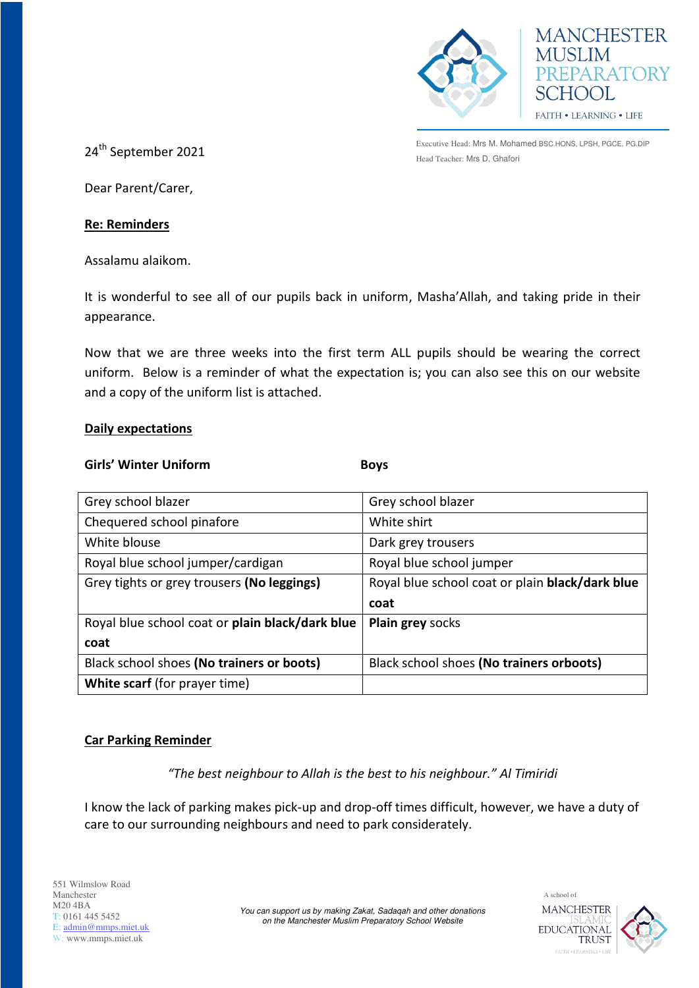



Executive Head: Mrs M. Mohamed BSC.HONS, LPSH, PGCE, PG.DIP Executive Head: Mrs M. Montal<br>Head Teacher: Mrs D. Ghafori

Dear Parent/Carer,

### **Re: Reminders**

Assalamu alaikom.

It is wonderful to see all of our pupils back in uniform, Masha'Allah, and taking pride in their appearance.

Now that we are three weeks into the first term ALL pupils should be wearing the correct uniform. Below is a reminder of what the expectation is; you can also see this on our website and a copy of the uniform list is attached.

## **Daily expectations**

#### **Girls' Winter Uniform Boys**

| Grey school blazer                              | Grey school blazer                              |
|-------------------------------------------------|-------------------------------------------------|
| Chequered school pinafore                       | White shirt                                     |
| White blouse                                    | Dark grey trousers                              |
| Royal blue school jumper/cardigan               | Royal blue school jumper                        |
| Grey tights or grey trousers (No leggings)      | Royal blue school coat or plain black/dark blue |
|                                                 |                                                 |
|                                                 | coat                                            |
| Royal blue school coat or plain black/dark blue | <b>Plain grey socks</b>                         |
| coat                                            |                                                 |
| Black school shoes (No trainers or boots)       | Black school shoes (No trainers orboots)        |

# **Car Parking Reminder**

*"The best neighbour to Allah is the best to his neighbour." Al Timiridi*

I know the lack of parking makes pick-up and drop-off times difficult, however, we have a duty of care to our surrounding neighbours and need to park considerately.